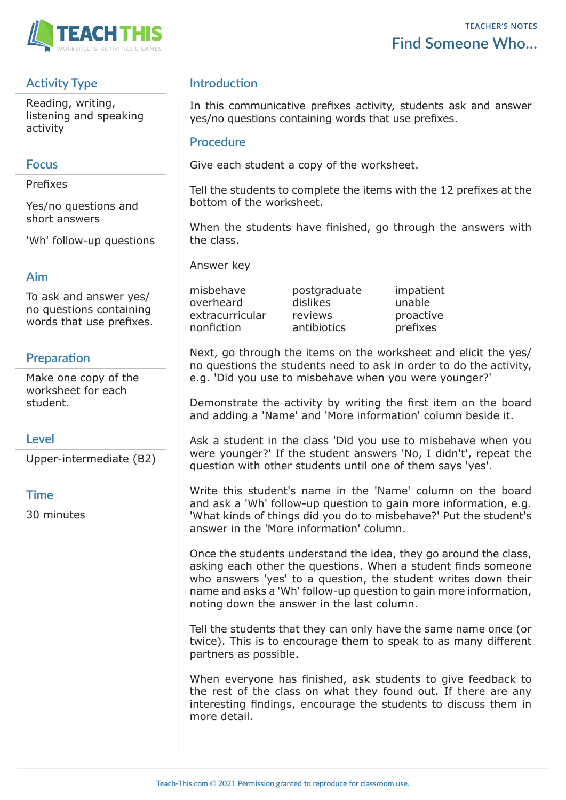

# **Activity Type**

Reading, writing, listening and speaking activity

#### **Focus**

Prefixes

Yes/no questions and short answers

'Wh' follow-up questions

### **Aim**

To ask and answer yes/ no questions containing words that use prefixes.

## **Preparation**

Make one copy of the worksheet for each student.

#### **Level**

Upper-intermediate (B2)

#### **Time**

30 minutes

### **Introduction**

In this communicative prefixes activity, students ask and answer yes/no questions containing words that use prefixes.

#### **Procedure**

Give each student a copy of the worksheet.

Tell the students to complete the items with the 12 prefixes at the bottom of the worksheet.

When the students have finished, go through the answers with the class.

Answer key

misbehave postgraduate impatient overheard dislikes unable extracurricular reviews proactive nonfiction antibiotics prefixes

Next, go through the items on the worksheet and elicit the yes/ no questions the students need to ask in order to do the activity, e.g. 'Did you use to misbehave when you were younger?'

Demonstrate the activity by writing the first item on the board and adding a 'Name' and 'More information' column beside it.

Ask a student in the class 'Did you use to misbehave when you were younger?' If the student answers 'No, I didn't', repeat the question with other students until one of them says 'yes'.

Write this student's name in the 'Name' column on the board and ask a 'Wh' follow-up question to gain more information, e.g. 'What kinds of things did you do to misbehave?' Put the student's answer in the 'More information' column.

Once the students understand the idea, they go around the class, asking each other the questions. When a student finds someone who answers 'yes' to a question, the student writes down their name and asks a 'Wh' follow-up question to gain more information, noting down the answer in the last column.

Tell the students that they can only have the same name once (or twice). This is to encourage them to speak to as many different partners as possible.

When everyone has finished, ask students to give feedback to the rest of the class on what they found out. If there are any interesting findings, encourage the students to discuss them in more detail.